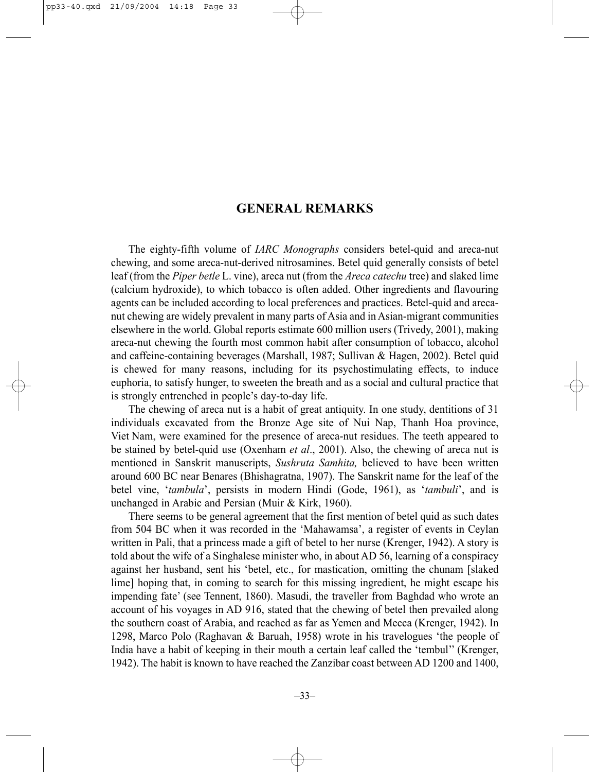## **GENERAL REMARKS**

The eighty-fifth volume of *IARC Monographs* considers betel-quid and areca-nut chewing, and some areca-nut-derived nitrosamines. Betel quid generally consists of betel leaf (from the *Piper betle* L. vine), areca nut (from the *Areca catechu* tree) and slaked lime (calcium hydroxide), to which tobacco is often added. Other ingredients and flavouring agents can be included according to local preferences and practices. Betel-quid and arecanut chewing are widely prevalent in many parts of Asia and in Asian-migrant communities elsewhere in the world. Global reports estimate 600 million users (Trivedy, 2001), making areca-nut chewing the fourth most common habit after consumption of tobacco, alcohol and caffeine-containing beverages (Marshall, 1987; Sullivan & Hagen, 2002). Betel quid is chewed for many reasons, including for its psychostimulating effects, to induce euphoria, to satisfy hunger, to sweeten the breath and as a social and cultural practice that is strongly entrenched in people's day-to-day life.

The chewing of areca nut is a habit of great antiquity. In one study, dentitions of 31 individuals excavated from the Bronze Age site of Nui Nap, Thanh Hoa province, Viet Nam, were examined for the presence of areca-nut residues. The teeth appeared to be stained by betel-quid use (Oxenham *et al*., 2001). Also, the chewing of areca nut is mentioned in Sanskrit manuscripts, *Sushruta Samhita,* believed to have been written around 600 BC near Benares (Bhishagratna, 1907). The Sanskrit name for the leaf of the betel vine, '*tambula*', persists in modern Hindi (Gode, 1961), as '*tambuli*', and is unchanged in Arabic and Persian (Muir & Kirk, 1960).

There seems to be general agreement that the first mention of betel quid as such dates from 504 BC when it was recorded in the 'Mahawamsa', a register of events in Ceylan written in Pali, that a princess made a gift of betel to her nurse (Krenger, 1942). A story is told about the wife of a Singhalese minister who, in about AD 56, learning of a conspiracy against her husband, sent his 'betel, etc., for mastication, omitting the chunam [slaked lime] hoping that, in coming to search for this missing ingredient, he might escape his impending fate' (see Tennent, 1860). Masudi, the traveller from Baghdad who wrote an account of his voyages in AD 916, stated that the chewing of betel then prevailed along the southern coast of Arabia, and reached as far as Yemen and Mecca (Krenger, 1942). In 1298, Marco Polo (Raghavan & Baruah, 1958) wrote in his travelogues 'the people of India have a habit of keeping in their mouth a certain leaf called the 'tembul'' (Krenger, 1942). The habit is known to have reached the Zanzibar coast between AD 1200 and 1400,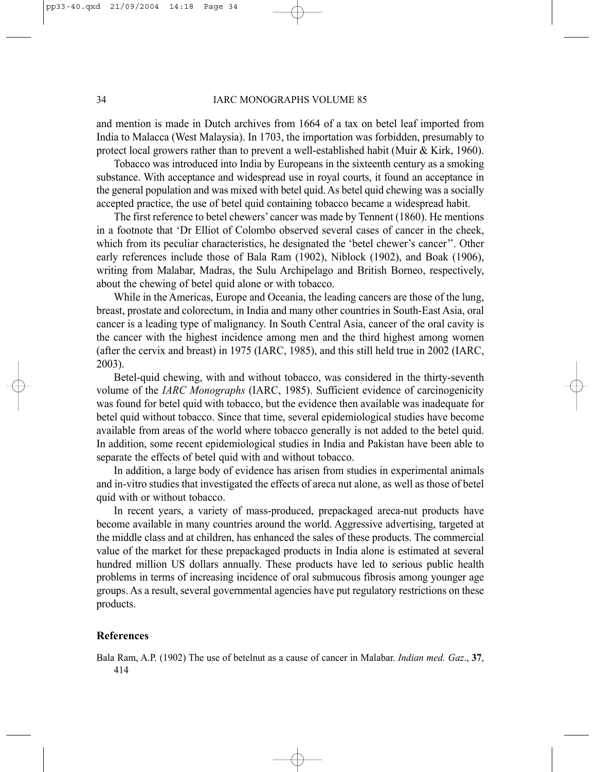and mention is made in Dutch archives from 1664 of a tax on betel leaf imported from India to Malacca (West Malaysia). In 1703, the importation was forbidden, presumably to protect local growers rather than to prevent a well-established habit (Muir & Kirk, 1960).

Tobacco was introduced into India by Europeans in the sixteenth century as a smoking substance. With acceptance and widespread use in royal courts, it found an acceptance in the general population and was mixed with betel quid. As betel quid chewing was a socially accepted practice, the use of betel quid containing tobacco became a widespread habit.

The first reference to betel chewers' cancer was made by Tennent (1860). He mentions in a footnote that 'Dr Elliot of Colombo observed several cases of cancer in the cheek, which from its peculiar characteristics, he designated the 'betel chewer's cancer''. Other early references include those of Bala Ram (1902), Niblock (1902), and Boak (1906), writing from Malabar, Madras, the Sulu Archipelago and British Borneo, respectively, about the chewing of betel quid alone or with tobacco.

While in the Americas, Europe and Oceania, the leading cancers are those of the lung, breast, prostate and colorectum, in India and many other countries in South-East Asia, oral cancer is a leading type of malignancy. In South Central Asia, cancer of the oral cavity is the cancer with the highest incidence among men and the third highest among women (after the cervix and breast) in 1975 (IARC, 1985), and this still held true in 2002 (IARC, 2003).

Betel-quid chewing, with and without tobacco, was considered in the thirty-seventh volume of the *IARC Monographs* (IARC, 1985). Sufficient evidence of carcinogenicity was found for betel quid with tobacco, but the evidence then available was inadequate for betel quid without tobacco. Since that time, several epidemiological studies have become available from areas of the world where tobacco generally is not added to the betel quid. In addition, some recent epidemiological studies in India and Pakistan have been able to separate the effects of betel quid with and without tobacco.

In addition, a large body of evidence has arisen from studies in experimental animals and in-vitro studies that investigated the effects of areca nut alone, as well as those of betel quid with or without tobacco.

In recent years, a variety of mass-produced, prepackaged areca-nut products have become available in many countries around the world. Aggressive advertising, targeted at the middle class and at children, has enhanced the sales of these products. The commercial value of the market for these prepackaged products in India alone is estimated at several hundred million US dollars annually. These products have led to serious public health problems in terms of increasing incidence of oral submucous fibrosis among younger age groups. As a result, several governmental agencies have put regulatory restrictions on these products.

## **References**

Bala Ram, A.P. (1902) The use of betelnut as a cause of cancer in Malabar. *Indian med. Gaz*., **37**, 414